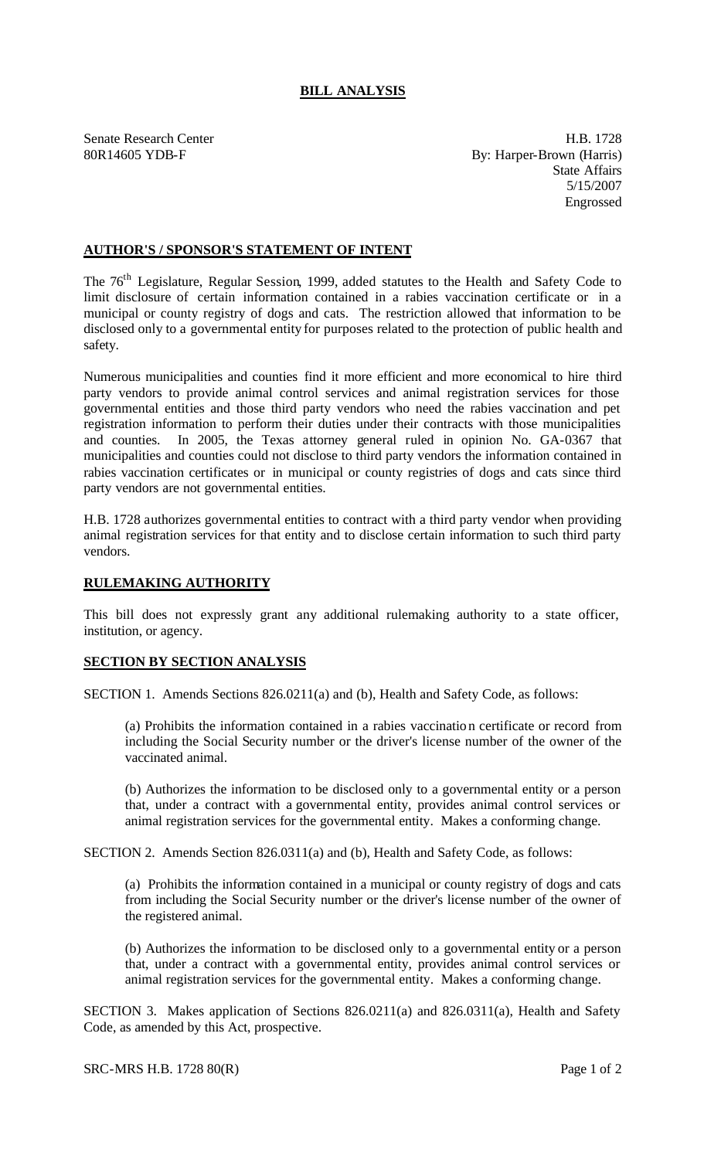## **BILL ANALYSIS**

Senate Research Center **H.B. 1728** 80R14605 YDB-F By: Harper-Brown (Harris) State Affairs 5/15/2007 Engrossed

## **AUTHOR'S / SPONSOR'S STATEMENT OF INTENT**

The 76<sup>th</sup> Legislature, Regular Session, 1999, added statutes to the Health and Safety Code to limit disclosure of certain information contained in a rabies vaccination certificate or in a municipal or county registry of dogs and cats. The restriction allowed that information to be disclosed only to a governmental entity for purposes related to the protection of public health and safety.

Numerous municipalities and counties find it more efficient and more economical to hire third party vendors to provide animal control services and animal registration services for those governmental entities and those third party vendors who need the rabies vaccination and pet registration information to perform their duties under their contracts with those municipalities and counties. In 2005, the Texas attorney general ruled in opinion No. GA-0367 that municipalities and counties could not disclose to third party vendors the information contained in rabies vaccination certificates or in municipal or county registries of dogs and cats since third party vendors are not governmental entities.

H.B. 1728 authorizes governmental entities to contract with a third party vendor when providing animal registration services for that entity and to disclose certain information to such third party vendors.

## **RULEMAKING AUTHORITY**

This bill does not expressly grant any additional rulemaking authority to a state officer, institution, or agency.

## **SECTION BY SECTION ANALYSIS**

SECTION 1. Amends Sections 826.0211(a) and (b), Health and Safety Code, as follows:

(a) Prohibits the information contained in a rabies vaccination certificate or record from including the Social Security number or the driver's license number of the owner of the vaccinated animal.

(b) Authorizes the information to be disclosed only to a governmental entity or a person that, under a contract with a governmental entity, provides animal control services or animal registration services for the governmental entity. Makes a conforming change.

SECTION 2. Amends Section 826.0311(a) and (b), Health and Safety Code, as follows:

(a) Prohibits the information contained in a municipal or county registry of dogs and cats from including the Social Security number or the driver's license number of the owner of the registered animal.

(b) Authorizes the information to be disclosed only to a governmental entity or a person that, under a contract with a governmental entity, provides animal control services or animal registration services for the governmental entity. Makes a conforming change.

SECTION 3. Makes application of Sections 826.0211(a) and 826.0311(a), Health and Safety Code, as amended by this Act, prospective.